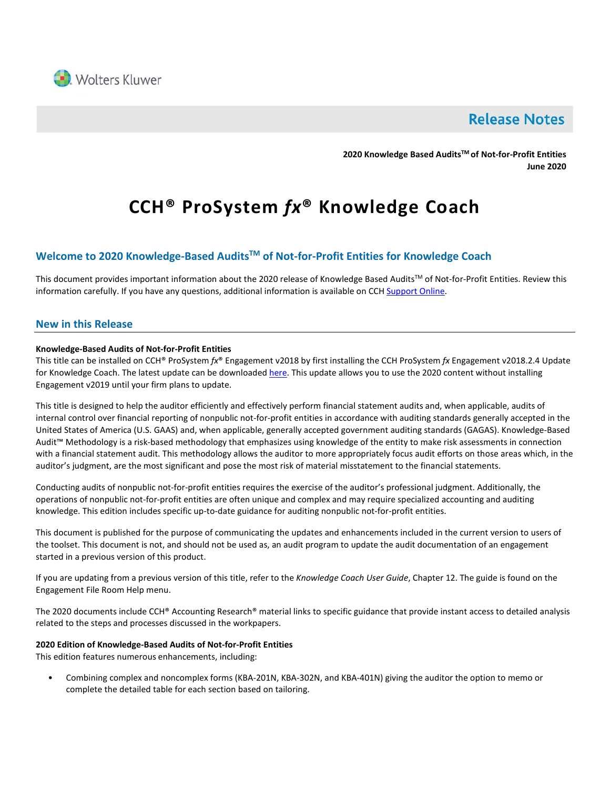

# **Release Notes**

**2020 Knowledge Based AuditsTM of Not-for-Profit Entities June 2020**

# **CCH® ProSystem** *fx***® Knowledge Coach**

# **Welcome to 2020 Knowledge-Based AuditsTM of Not-for-Profit Entities for Knowledge Coach**

This document provides important information about the 2020 release of Knowledge Based Audits™ of Not-for-Profit Entities. Review this information carefully. If you have any questions, additional information is available on CC[H Support Online.](http://support.cch.com/productsupport/)

#### **New in this Release**

#### **Knowledge-Based Audits of Not-for-Profit Entities**

This title can be installed on CCH® ProSystem *fx*® Engagement v2018 by first installing the CCH ProSystem *fx* Engagement v2018.2.4 Update for Knowledge Coach. The latest update can be downloade[d here.](https://support.cch.com/updates/Engagement/release2018/release2018.aspx) This update allows you to use the 2020 content without installing Engagement v2019 until your firm plans to update.

This title is designed to help the auditor efficiently and effectively perform financial statement audits and, when applicable, audits of internal control over financial reporting of nonpublic not-for-profit entities in accordance with auditing standards generally accepted in the United States of America (U.S. GAAS) and, when applicable, generally accepted government auditing standards (GAGAS). Knowledge-Based Audit™ Methodology is a risk-based methodology that emphasizes using knowledge of the entity to make risk assessments in connection with a financial statement audit. This methodology allows the auditor to more appropriately focus audit efforts on those areas which, in the auditor's judgment, are the most significant and pose the most risk of material misstatement to the financial statements.

Conducting audits of nonpublic not-for-profit entities requires the exercise of the auditor's professional judgment. Additionally, the operations of nonpublic not-for-profit entities are often unique and complex and may require specialized accounting and auditing knowledge. This edition includes specific up-to-date guidance for auditing nonpublic not-for-profit entities.

This document is published for the purpose of communicating the updates and enhancements included in the current version to users of the toolset. This document is not, and should not be used as, an audit program to update the audit documentation of an engagement started in a previous version of this product.

If you are updating from a previous version of this title, refer to the *Knowledge Coach User Guide*, Chapter 12. The guide is found on the Engagement File Room Help menu.

The 2020 documents include CCH® Accounting Research® material links to specific guidance that provide instant access to detailed analysis related to the steps and processes discussed in the workpapers.

#### **2020 Edition of Knowledge-Based Audits of Not-for-Profit Entities**

This edition features numerous enhancements, including:

• Combining complex and noncomplex forms (KBA-201N, KBA-302N, and KBA-401N) giving the auditor the option to memo or complete the detailed table for each section based on tailoring.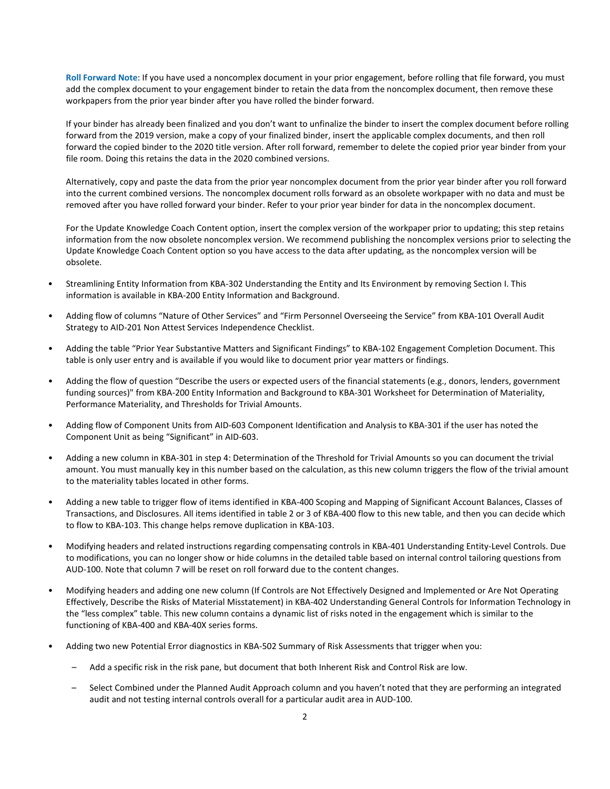**Roll Forward Note**: If you have used a noncomplex document in your prior engagement, before rolling that file forward, you must add the complex document to your engagement binder to retain the data from the noncomplex document, then remove these workpapers from the prior year binder after you have rolled the binder forward.

If your binder has already been finalized and you don't want to unfinalize the binder to insert the complex document before rolling forward from the 2019 version, make a copy of your finalized binder, insert the applicable complex documents, and then roll forward the copied binder to the 2020 title version. After roll forward, remember to delete the copied prior year binder from your file room. Doing this retains the data in the 2020 combined versions.

Alternatively, copy and paste the data from the prior year noncomplex document from the prior year binder after you roll forward into the current combined versions. The noncomplex document rolls forward as an obsolete workpaper with no data and must be removed after you have rolled forward your binder. Refer to your prior year binder for data in the noncomplex document.

For the Update Knowledge Coach Content option, insert the complex version of the workpaper prior to updating; this step retains information from the now obsolete noncomplex version. We recommend publishing the noncomplex versions prior to selecting the Update Knowledge Coach Content option so you have access to the data after updating, as the noncomplex version will be obsolete.

- Streamlining Entity Information from KBA-302 Understanding the Entity and Its Environment by removing Section I. This information is available in KBA-200 Entity Information and Background.
- Adding flow of columns "Nature of Other Services" and "Firm Personnel Overseeing the Service" from KBA-101 Overall Audit Strategy to AID-201 Non Attest Services Independence Checklist.
- Adding the table "Prior Year Substantive Matters and Significant Findings" to KBA-102 Engagement Completion Document. This table is only user entry and is available if you would like to document prior year matters or findings.
- Adding the flow of question "Describe the users or expected users of the financial statements (e.g., donors, lenders, government funding sources)" from KBA-200 Entity Information and Background to KBA-301 Worksheet for Determination of Materiality, Performance Materiality, and Thresholds for Trivial Amounts.
- Adding flow of Component Units from AID-603 Component Identification and Analysis to KBA-301 if the user has noted the Component Unit as being "Significant" in AID-603.
- Adding a new column in KBA-301 in step 4: Determination of the Threshold for Trivial Amounts so you can document the trivial amount. You must manually key in this number based on the calculation, as this new column triggers the flow of the trivial amount to the materiality tables located in other forms.
- Adding a new table to trigger flow of items identified in KBA-400 Scoping and Mapping of Significant Account Balances, Classes of Transactions, and Disclosures. All items identified in table 2 or 3 of KBA-400 flow to this new table, and then you can decide which to flow to KBA-103. This change helps remove duplication in KBA-103.
- Modifying headers and related instructions regarding compensating controls in KBA-401 Understanding Entity-Level Controls. Due to modifications, you can no longer show or hide columns in the detailed table based on internal control tailoring questions from AUD-100. Note that column 7 will be reset on roll forward due to the content changes.
- Modifying headers and adding one new column (If Controls are Not Effectively Designed and Implemented or Are Not Operating Effectively, Describe the Risks of Material Misstatement) in KBA-402 Understanding General Controls for Information Technology in the "less complex" table. This new column contains a dynamic list of risks noted in the engagement which is similar to the functioning of KBA-400 and KBA-40X series forms.
- Adding two new Potential Error diagnostics in KBA-502 Summary of Risk Assessments that trigger when you:
	- Add a specific risk in the risk pane, but document that both Inherent Risk and Control Risk are low.
	- Select Combined under the Planned Audit Approach column and you haven't noted that they are performing an integrated audit and not testing internal controls overall for a particular audit area in AUD-100.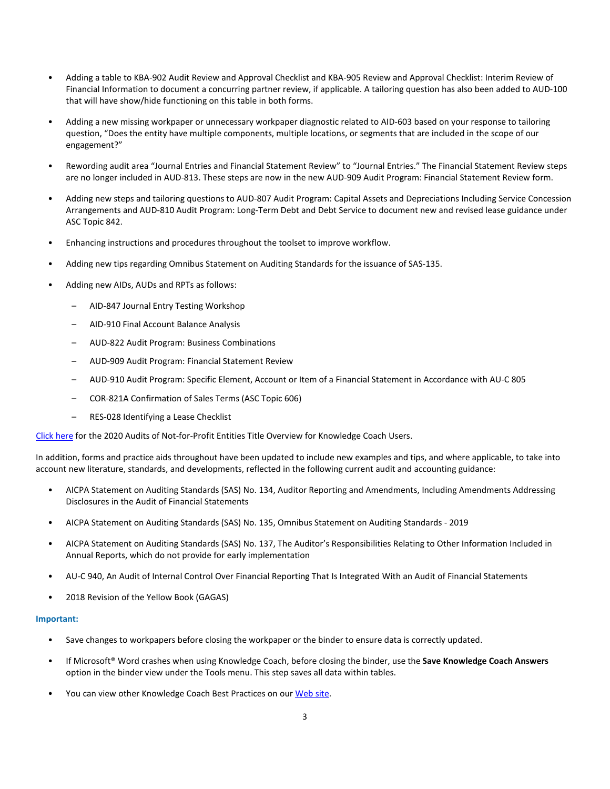- Adding a table to KBA-902 Audit Review and Approval Checklist and KBA-905 Review and Approval Checklist: Interim Review of Financial Information to document a concurring partner review, if applicable. A tailoring question has also been added to AUD-100 that will have show/hide functioning on this table in both forms.
- Adding a new missing workpaper or unnecessary workpaper diagnostic related to AID-603 based on your response to tailoring question, "Does the entity have multiple components, multiple locations, or segments that are included in the scope of our engagement?"
- Rewording audit area "Journal Entries and Financial Statement Review" to "Journal Entries." The Financial Statement Review steps are no longer included in AUD-813. These steps are now in the new AUD-909 Audit Program: Financial Statement Review form.
- Adding new steps and tailoring questions to AUD-807 Audit Program: Capital Assets and Depreciations Including Service Concession Arrangements and AUD-810 Audit Program: Long-Term Debt and Debt Service to document new and revised lease guidance under ASC Topic 842.
- Enhancing instructions and procedures throughout the toolset to improve workflow.
- Adding new tips regarding Omnibus Statement on Auditing Standards for the issuance of SAS-135.
- Adding new AIDs, AUDs and RPTs as follows:
	- AID-847 Journal Entry Testing Workshop
	- AID-910 Final Account Balance Analysis
	- AUD-822 Audit Program: Business Combinations
	- AUD-909 Audit Program: Financial Statement Review
	- AUD-910 Audit Program: Specific Element, Account or Item of a Financial Statement in Accordance with AU-C 805
	- COR-821A Confirmation of Sales Terms (ASC Topic 606)
	- RES-028 Identifying a Lease Checklist

[Click here](http://support.cch.com/updates/KnowledgeCoach/pdf/guides_tab/2020%20Not-For-Profit%20Entities%20Audits%20Title%20Overview%20for%20Knowledge%20Coach%20Users.pdf) for the 2020 Audits of Not-for-Profit Entities Title Overview for Knowledge Coach Users.

In addition, forms and practice aids throughout have been updated to include new examples and tips, and where applicable, to take into account new literature, standards, and developments, reflected in the following current audit and accounting guidance:

- AICPA Statement on Auditing Standards (SAS) No. 134, Auditor Reporting and Amendments, Including Amendments Addressing Disclosures in the Audit of Financial Statements
- AICPA Statement on Auditing Standards (SAS) No. 135, Omnibus Statement on Auditing Standards 2019
- AICPA Statement on Auditing Standards (SAS) No. 137, The Auditor's Responsibilities Relating to Other Information Included in Annual Reports, which do not provide for early implementation
- AU-C 940, An Audit of Internal Control Over Financial Reporting That Is Integrated With an Audit of Financial Statements
- 2018 Revision of the Yellow Book (GAGAS)

#### **Important:**

- Save changes to workpapers before closing the workpaper or the binder to ensure data is correctly updated.
- If Microsoft® Word crashes when using Knowledge Coach, before closing the binder, use the **Save Knowledge Coach Answers** option in the binder view under the Tools menu. This step saves all data within tables.
- You can view other Knowledge Coach Best Practices on ou[r Web](https://support.cch.com/kb/solution/000034942/sw34947) site.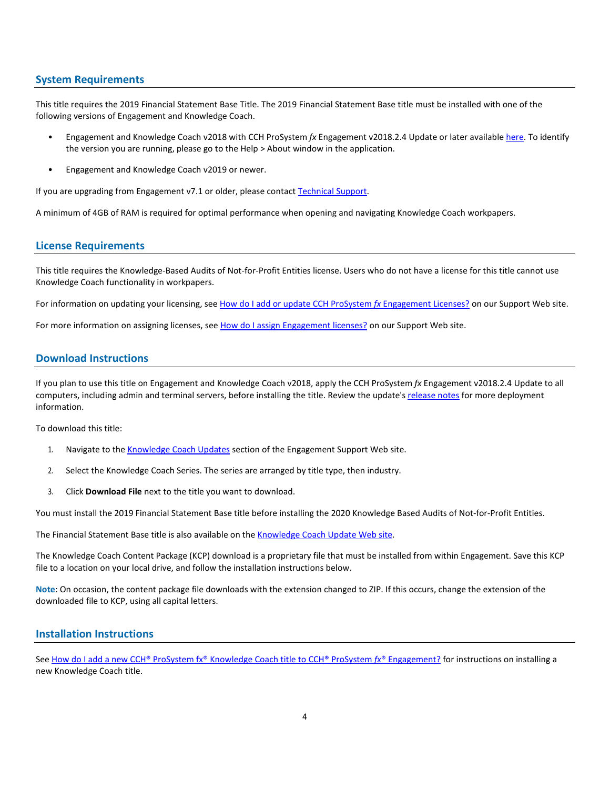#### **System Requirements**

This title requires the 2019 Financial Statement Base Title. The 2019 Financial Statement Base title must be installed with one of the following versions of Engagement and Knowledge Coach.

- Engagement and Knowledge Coach v2018 with CCH ProSystem *fx* Engagement v2018.2.4 Update or later available [here.](https://support.cch.com/updates/Engagement/release2018/release2018.aspx) To identify the version you are running, please go to the Help > About window in the application.
- Engagement and Knowledge Coach v2019 or newer.

If you are upgrading from Engagement v7.1 or older, please contact [Technical Support.](https://support.cch.com/contact)

A minimum of 4GB of RAM is required for optimal performance when opening and navigating Knowledge Coach workpapers.

# **License Requirements**

This title requires the Knowledge-Based Audits of Not-for-Profit Entities license. Users who do not have a license for this title cannot use Knowledge Coach functionality in workpapers.

For information on updating your licensing, see [How do I add or update CCH ProSystem](https://support.cch.com/kb/solution.aspx/sw3937) fx Engagement Licenses? on our Support Web site.

For more information on assigning licenses, see [How do I assign Engagement licenses?](https://support.cch.com/kb/solution.aspx/sw3943) on our Support Web site.

# **Download Instructions**

If you plan to use this title on Engagement and Knowledge Coach v2018, apply the CCH ProSystem *fx* Engagement v2018.2.4 Update to all computers, including admin and terminal servers, before installing the title. Review the update's [release notes](https://d2iceilwdglxpz.cloudfront.net/release_notes/CCH%20ProSystem%20fx%20Engagement%202018.2.4%20Release%20Notes.pdf) for more deployment information.

To download this title:

- 1. Navigate to the [Knowledge Coach Updates](http://support.cch.com/updates/KnowledgeCoach) section of the Engagement Support Web site.
- 2. Select the Knowledge Coach Series. The series are arranged by title type, then industry.
- 3. Click **Download File** next to the title you want to download.

You must install the 2019 Financial Statement Base title before installing the 2020 Knowledge Based Audits of Not-for-Profit Entities.

The Financial Statement Base title is also available on th[e Knowledge Coach Update Web](http://support.cch.com/updates/KnowledgeCoach) site.

The Knowledge Coach Content Package (KCP) download is a proprietary file that must be installed from within Engagement. Save this KCP file to a location on your local drive, and follow the installation instructions below.

**Note**: On occasion, the content package file downloads with the extension changed to ZIP. If this occurs, change the extension of the downloaded file to KCP, using all capital letters.

#### **Installation Instructions**

See [How do I add a new CCH® ProSystem fx® Knowledge Coach title to CCH® ProSystem](https://support.cch.com/kb/solution/000033707/sw30271) *fx*® Engagement? for instructions on installing a new Knowledge Coach title.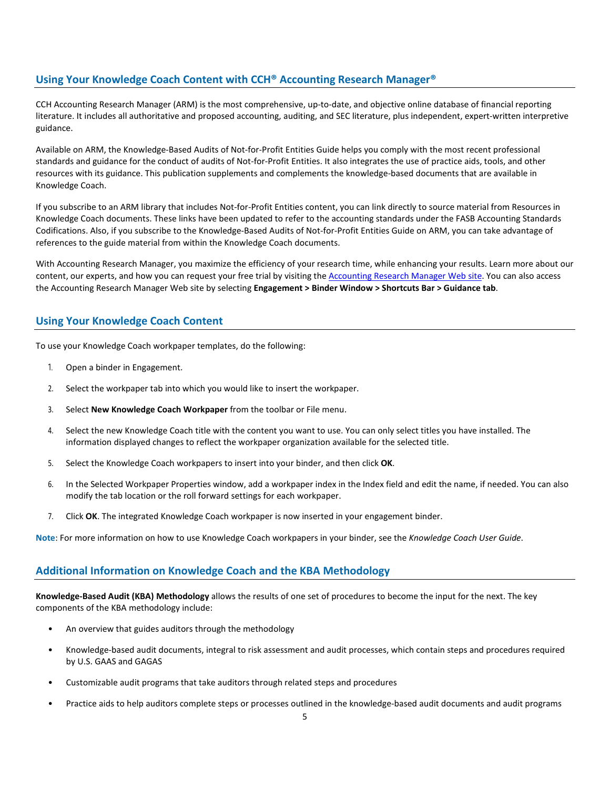# **Using Your Knowledge Coach Content with CCH® Accounting Research Manager®**

CCH Accounting Research Manager (ARM) is the most comprehensive, up-to-date, and objective online database of financial reporting literature. It includes all authoritative and proposed accounting, auditing, and SEC literature, plus independent, expert-written interpretive guidance.

Available on ARM, the Knowledge-Based Audits of Not-for-Profit Entities Guide helps you comply with the most recent professional standards and guidance for the conduct of audits of Not-for-Profit Entities. It also integrates the use of practice aids, tools, and other resources with its guidance. This publication supplements and complements the knowledge-based documents that are available in Knowledge Coach.

If you subscribe to an ARM library that includes Not-for-Profit Entities content, you can link directly to source material from Resources in Knowledge Coach documents. These links have been updated to refer to the accounting standards under the FASB Accounting Standards Codifications. Also, if you subscribe to the Knowledge-Based Audits of Not-for-Profit Entities Guide on ARM, you can take advantage of references to the guide material from within the Knowledge Coach documents.

With Accounting Research Manager, you maximize the efficiency of your research time, while enhancing your results. Learn more about our content, our experts, and how you can request your free trial by visiting the [Accounting Research Manager Web](http://www.accountingresearchmanager.com/) site. You can also access the Accounting Research Manager Web site by selecting **Engagement > Binder Window > Shortcuts Bar > Guidance tab**.

# **Using Your Knowledge Coach Content**

To use your Knowledge Coach workpaper templates, do the following:

- 1. Open a binder in Engagement.
- 2. Select the workpaper tab into which you would like to insert the workpaper.
- 3. Select **New Knowledge Coach Workpaper** from the toolbar or File menu.
- 4. Select the new Knowledge Coach title with the content you want to use. You can only select titles you have installed. The information displayed changes to reflect the workpaper organization available for the selected title.
- 5. Select the Knowledge Coach workpapers to insert into your binder, and then click **OK**.
- 6. In the Selected Workpaper Properties window, add a workpaper index in the Index field and edit the name, if needed. You can also modify the tab location or the roll forward settings for each workpaper.
- 7. Click **OK**. The integrated Knowledge Coach workpaper is now inserted in your engagement binder.

**Note**: For more information on how to use Knowledge Coach workpapers in your binder, see the *Knowledge Coach User Guide*.

# **Additional Information on Knowledge Coach and the KBA Methodology**

**Knowledge-Based Audit (KBA) Methodology** allows the results of one set of procedures to become the input for the next. The key components of the KBA methodology include:

- An overview that guides auditors through the methodology
- Knowledge-based audit documents, integral to risk assessment and audit processes, which contain steps and procedures required by U.S. GAAS and GAGAS
- Customizable audit programs that take auditors through related steps and procedures
- Practice aids to help auditors complete steps or processes outlined in the knowledge-based audit documents and audit programs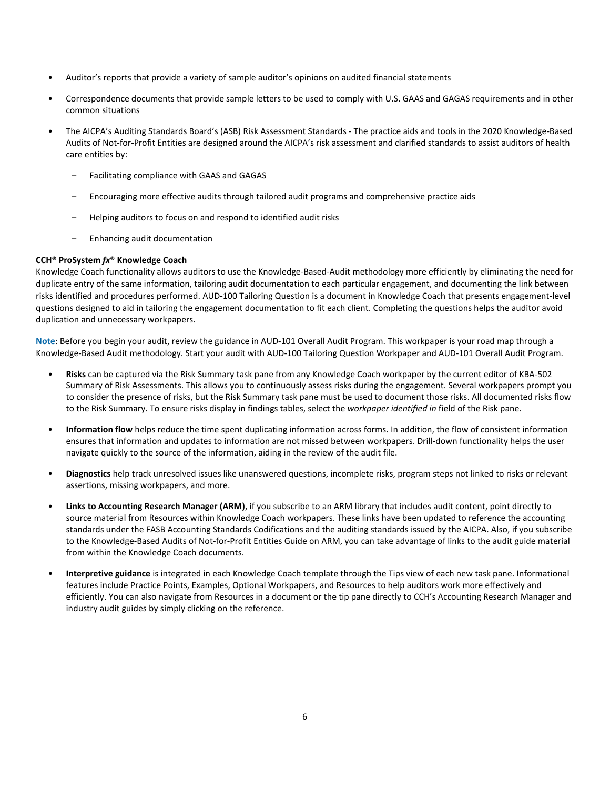- Auditor's reports that provide a variety of sample auditor's opinions on audited financial statements
- Correspondence documents that provide sample letters to be used to comply with U.S. GAAS and GAGAS requirements and in other common situations
- The AICPA's Auditing Standards Board's (ASB) Risk Assessment Standards The practice aids and tools in the 2020 Knowledge-Based Audits of Not-for-Profit Entities are designed around the AICPA's risk assessment and clarified standards to assist auditors of health care entities by:
	- Facilitating compliance with GAAS and GAGAS
	- Encouraging more effective audits through tailored audit programs and comprehensive practice aids
	- Helping auditors to focus on and respond to identified audit risks
	- Enhancing audit documentation

#### **CCH® ProSystem** *fx***® Knowledge Coach**

Knowledge Coach functionality allows auditors to use the Knowledge-Based-Audit methodology more efficiently by eliminating the need for duplicate entry of the same information, tailoring audit documentation to each particular engagement, and documenting the link between risks identified and procedures performed. AUD-100 Tailoring Question is a document in Knowledge Coach that presents engagement-level questions designed to aid in tailoring the engagement documentation to fit each client. Completing the questions helps the auditor avoid duplication and unnecessary workpapers.

**Note**: Before you begin your audit, review the guidance in AUD-101 Overall Audit Program. This workpaper is your road map through a Knowledge-Based Audit methodology. Start your audit with AUD-100 Tailoring Question Workpaper and AUD-101 Overall Audit Program.

- **Risks** can be captured via the Risk Summary task pane from any Knowledge Coach workpaper by the current editor of KBA-502 Summary of Risk Assessments. This allows you to continuously assess risks during the engagement. Several workpapers prompt you to consider the presence of risks, but the Risk Summary task pane must be used to document those risks. All documented risks flow to the Risk Summary. To ensure risks display in findings tables, select the *workpaper identified in* field of the Risk pane.
- **Information flow** helps reduce the time spent duplicating information across forms. In addition, the flow of consistent information ensures that information and updates to information are not missed between workpapers. Drill-down functionality helps the user navigate quickly to the source of the information, aiding in the review of the audit file.
- **Diagnostics** help track unresolved issues like unanswered questions, incomplete risks, program steps not linked to risks or relevant assertions, missing workpapers, and more.
- **Links to Accounting Research Manager (ARM)**, if you subscribe to an ARM library that includes audit content, point directly to source material from Resources within Knowledge Coach workpapers. These links have been updated to reference the accounting standards under the FASB Accounting Standards Codifications and the auditing standards issued by the AICPA. Also, if you subscribe to the Knowledge-Based Audits of Not-for-Profit Entities Guide on ARM, you can take advantage of links to the audit guide material from within the Knowledge Coach documents.
- **Interpretive guidance** is integrated in each Knowledge Coach template through the Tips view of each new task pane. Informational features include Practice Points, Examples, Optional Workpapers, and Resources to help auditors work more effectively and efficiently. You can also navigate from Resources in a document or the tip pane directly to CCH's Accounting Research Manager and industry audit guides by simply clicking on the reference.